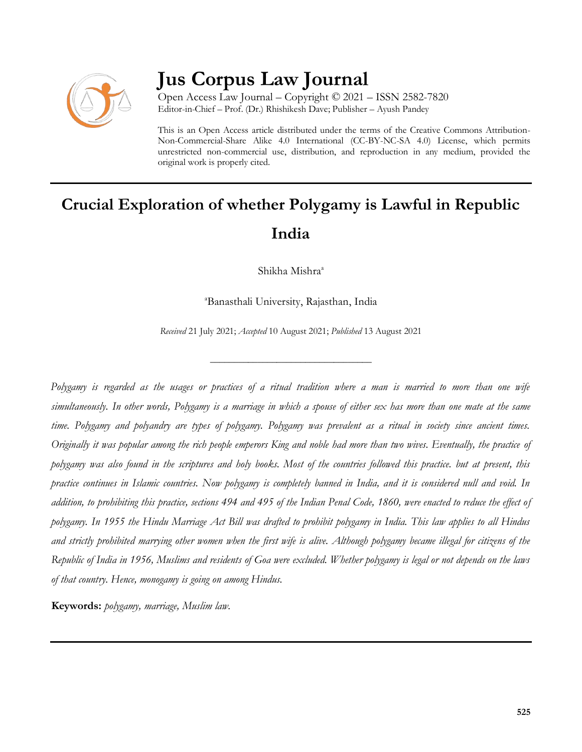

## **Jus Corpus Law Journal**

Open Access Law Journal – Copyright © 2021 – ISSN 2582-7820 Editor-in-Chief – Prof. (Dr.) Rhishikesh Dave; Publisher – Ayush Pandey

This is an Open Access article distributed under the terms of the Creative Commons Attribution-Non-Commercial-Share Alike 4.0 International (CC-BY-NC-SA 4.0) License, which permits unrestricted non-commercial use, distribution, and reproduction in any medium, provided the original work is properly cited.

# **Crucial Exploration of whether Polygamy is Lawful in Republic India**

Shikha Mishra<sup>a</sup>

<sup>a</sup>Banasthali University, Rajasthan, India

*Received* 21 July 2021; *Accepted* 10 August 2021; *Published* 13 August 2021

\_\_\_\_\_\_\_\_\_\_\_\_\_\_\_\_\_\_\_\_\_\_\_\_\_\_\_\_\_\_\_\_\_\_

*Polygamy is regarded as the usages or practices of a ritual tradition where a man is married to more than one wife simultaneously. In other words, Polygamy is a marriage in which a spouse of either sex has more than one mate at the same time. Polygamy and polyandry are types of polygamy. Polygamy was prevalent as a ritual in society since ancient times. Originally it was popular among the rich people emperors King and noble had more than two wives. Eventually, the practice of polygamy was also found in the scriptures and holy books. Most of the countries followed this practice. but at present, this practice continues in Islamic countries. Now polygamy is completely banned in India, and it is considered null and void. In addition, to prohibiting this practice, sections 494 and 495 of the Indian Penal Code, 1860, were enacted to reduce the effect of polygamy. In 1955 the Hindu Marriage Act Bill was drafted to prohibit polygamy in India. This law applies to all Hindus and strictly prohibited marrying other women when the first wife is alive. Although polygamy became illegal for citizens of the Republic of India in 1956, Muslims and residents of Goa were excluded. Whether polygamy is legal or not depends on the laws of that country. Hence, monogamy is going on among Hindus.* 

**Keywords:** *polygamy, marriage, Muslim law.*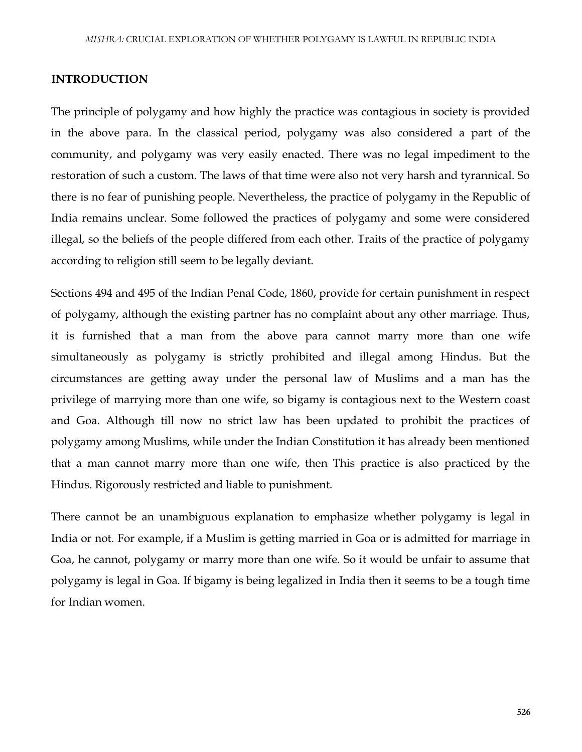#### **INTRODUCTION**

The principle of polygamy and how highly the practice was contagious in society is provided in the above para. In the classical period, polygamy was also considered a part of the community, and polygamy was very easily enacted. There was no legal impediment to the restoration of such a custom. The laws of that time were also not very harsh and tyrannical. So there is no fear of punishing people. Nevertheless, the practice of polygamy in the Republic of India remains unclear. Some followed the practices of polygamy and some were considered illegal, so the beliefs of the people differed from each other. Traits of the practice of polygamy according to religion still seem to be legally deviant.

Sections 494 and 495 of the Indian Penal Code, 1860, provide for certain punishment in respect of polygamy, although the existing partner has no complaint about any other marriage. Thus, it is furnished that a man from the above para cannot marry more than one wife simultaneously as polygamy is strictly prohibited and illegal among Hindus. But the circumstances are getting away under the personal law of Muslims and a man has the privilege of marrying more than one wife, so bigamy is contagious next to the Western coast and Goa. Although till now no strict law has been updated to prohibit the practices of polygamy among Muslims, while under the Indian Constitution it has already been mentioned that a man cannot marry more than one wife, then This practice is also practiced by the Hindus. Rigorously restricted and liable to punishment.

There cannot be an unambiguous explanation to emphasize whether polygamy is legal in India or not. For example, if a Muslim is getting married in Goa or is admitted for marriage in Goa, he cannot, polygamy or marry more than one wife. So it would be unfair to assume that polygamy is legal in Goa. If bigamy is being legalized in India then it seems to be a tough time for Indian women.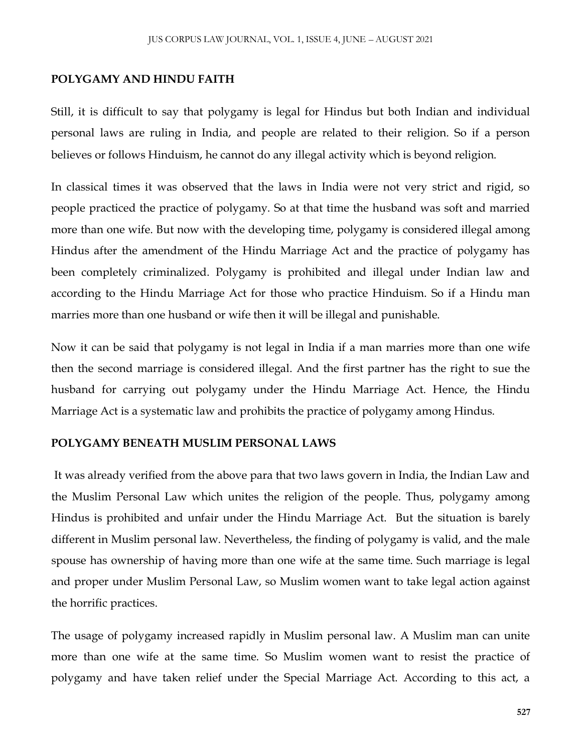#### **POLYGAMY AND HINDU FAITH**

Still, it is difficult to say that polygamy is legal for Hindus but both Indian and individual personal laws are ruling in India, and people are related to their religion. So if a person believes or follows Hinduism, he cannot do any illegal activity which is beyond religion.

In classical times it was observed that the laws in India were not very strict and rigid, so people practiced the practice of polygamy. So at that time the husband was soft and married more than one wife. But now with the developing time, polygamy is considered illegal among Hindus after the amendment of the Hindu Marriage Act and the practice of polygamy has been completely criminalized. Polygamy is prohibited and illegal under Indian law and according to the Hindu Marriage Act for those who practice Hinduism. So if a Hindu man marries more than one husband or wife then it will be illegal and punishable.

Now it can be said that polygamy is not legal in India if a man marries more than one wife then the second marriage is considered illegal. And the first partner has the right to sue the husband for carrying out polygamy under the Hindu Marriage Act. Hence, the Hindu Marriage Act is a systematic law and prohibits the practice of polygamy among Hindus.

#### **POLYGAMY BENEATH MUSLIM PERSONAL LAWS**

It was already verified from the above para that two laws govern in India, the Indian Law and the Muslim Personal Law which unites the religion of the people. Thus, polygamy among Hindus is prohibited and unfair under the Hindu Marriage Act. But the situation is barely different in Muslim personal law. Nevertheless, the finding of polygamy is valid, and the male spouse has ownership of having more than one wife at the same time. Such marriage is legal and proper under Muslim Personal Law, so Muslim women want to take legal action against the horrific practices.

The usage of polygamy increased rapidly in Muslim personal law. A Muslim man can unite more than one wife at the same time. So Muslim women want to resist the practice of polygamy and have taken relief under the Special Marriage Act. According to this act, a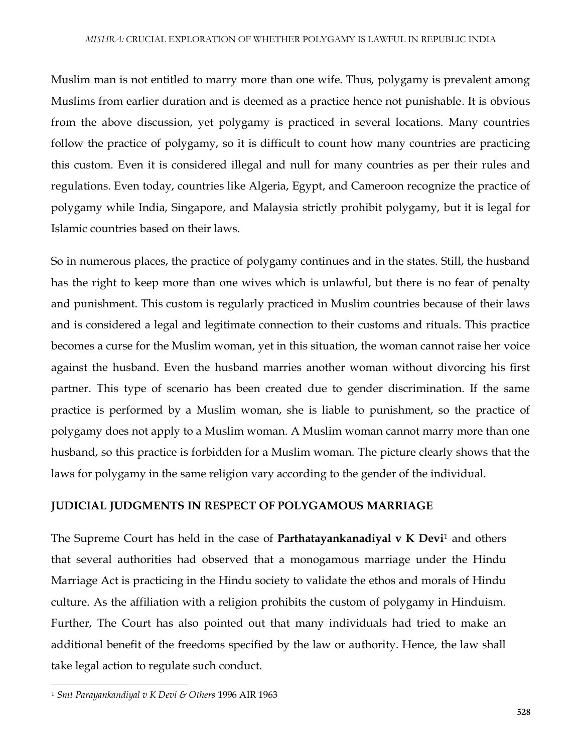Muslim man is not entitled to marry more than one wife. Thus, polygamy is prevalent among Muslims from earlier duration and is deemed as a practice hence not punishable. It is obvious from the above discussion, yet polygamy is practiced in several locations. Many countries follow the practice of polygamy, so it is difficult to count how many countries are practicing this custom. Even it is considered illegal and null for many countries as per their rules and regulations. Even today, countries like Algeria, Egypt, and Cameroon recognize the practice of polygamy while India, Singapore, and Malaysia strictly prohibit polygamy, but it is legal for Islamic countries based on their laws.

So in numerous places, the practice of polygamy continues and in the states. Still, the husband has the right to keep more than one wives which is unlawful, but there is no fear of penalty and punishment. This custom is regularly practiced in Muslim countries because of their laws and is considered a legal and legitimate connection to their customs and rituals. This practice becomes a curse for the Muslim woman, yet in this situation, the woman cannot raise her voice against the husband. Even the husband marries another woman without divorcing his first partner. This type of scenario has been created due to gender discrimination. If the same practice is performed by a Muslim woman, she is liable to punishment, so the practice of polygamy does not apply to a Muslim woman. A Muslim woman cannot marry more than one husband, so this practice is forbidden for a Muslim woman. The picture clearly shows that the laws for polygamy in the same religion vary according to the gender of the individual.

### **JUDICIAL JUDGMENTS IN RESPECT OF POLYGAMOUS MARRIAGE**

The Supreme Court has held in the case of **Parthatayankanadiyal v K Devi**<sup>1</sup> and others that several authorities had observed that a monogamous marriage under the Hindu Marriage Act is practicing in the Hindu society to validate the ethos and morals of Hindu culture. As the affiliation with a religion prohibits the custom of polygamy in Hinduism. Further, The Court has also pointed out that many individuals had tried to make an additional benefit of the freedoms specified by the law or authority. Hence, the law shall take legal action to regulate such conduct.

 $\overline{\phantom{a}}$ <sup>1</sup> *Smt Parayankandiyal v K Devi & Others* 1996 AIR 1963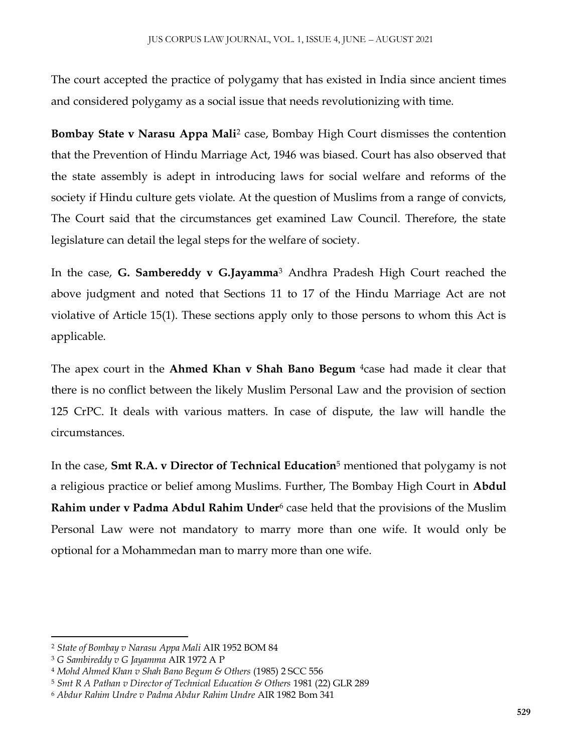The court accepted the practice of polygamy that has existed in India since ancient times and considered polygamy as a social issue that needs revolutionizing with time.

**Bombay State v Narasu Appa Mali**<sup>2</sup> case, Bombay High Court dismisses the contention that the Prevention of Hindu Marriage Act, 1946 was biased. Court has also observed that the state assembly is adept in introducing laws for social welfare and reforms of the society if Hindu culture gets violate. At the question of Muslims from a range of convicts, The Court said that the circumstances get examined Law Council. Therefore, the state legislature can detail the legal steps for the welfare of society.

In the case, **G. Sambereddy v G.Jayamma**<sup>3</sup> Andhra Pradesh High Court reached the above judgment and noted that Sections 11 to 17 of the Hindu Marriage Act are not violative of Article 15(1). These sections apply only to those persons to whom this Act is applicable.

The apex court in the **Ahmed Khan v Shah Bano Begum** 4case had made it clear that there is no conflict between the likely Muslim Personal Law and the provision of section 125 CrPC. It deals with various matters. In case of dispute, the law will handle the circumstances.

In the case, **Smt R.A. v Director of Technical Education**<sup>5</sup> mentioned that polygamy is not a religious practice or belief among Muslims. Further, The Bombay High Court in **Abdul Rahim under v Padma Abdul Rahim Under**<sup>6</sup> case held that the provisions of the Muslim Personal Law were not mandatory to marry more than one wife. It would only be optional for a Mohammedan man to marry more than one wife.

 $\overline{a}$ 

<sup>2</sup> *State of Bombay v Narasu Appa Mali* AIR 1952 BOM 84

<sup>3</sup> *G Sambireddy v G Jayamma* AIR 1972 A P

<sup>4</sup> *Mohd Ahmed Khan v Shah Bano Begum & Others* (1985) 2 SCC 556

<sup>5</sup> *Smt R A Pathan v Director of Technical Education & Others* 1981 (22) GLR 289

<sup>6</sup> *Abdur Rahim Undre v Padma Abdur Rahim Undre* AIR 1982 Bom 341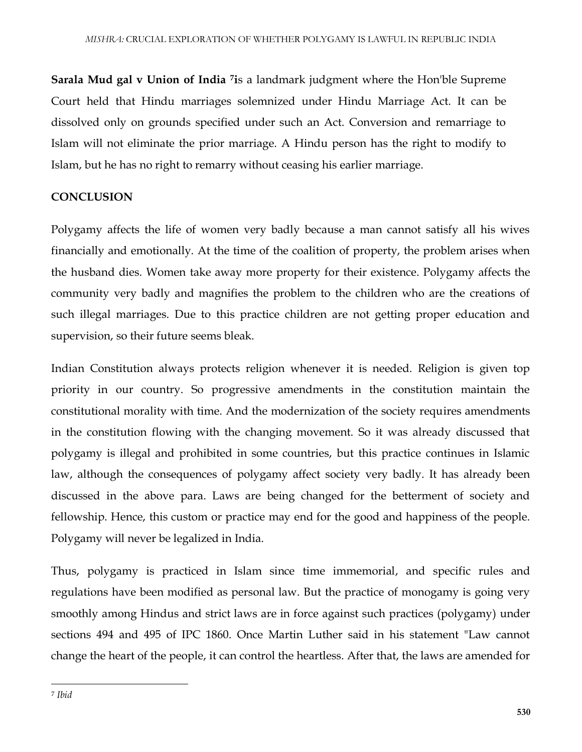**Sarala Mud gal v Union of India <sup>7</sup> i**s a landmark judgment where the Hon'ble Supreme Court held that Hindu marriages solemnized under Hindu Marriage Act. It can be dissolved only on grounds specified under such an Act. Conversion and remarriage to Islam will not eliminate the prior marriage. A Hindu person has the right to modify to Islam, but he has no right to remarry without ceasing his earlier marriage.

## **CONCLUSION**

Polygamy affects the life of women very badly because a man cannot satisfy all his wives financially and emotionally. At the time of the coalition of property, the problem arises when the husband dies. Women take away more property for their existence. Polygamy affects the community very badly and magnifies the problem to the children who are the creations of such illegal marriages. Due to this practice children are not getting proper education and supervision, so their future seems bleak.

Indian Constitution always protects religion whenever it is needed. Religion is given top priority in our country. So progressive amendments in the constitution maintain the constitutional morality with time. And the modernization of the society requires amendments in the constitution flowing with the changing movement. So it was already discussed that polygamy is illegal and prohibited in some countries, but this practice continues in Islamic law, although the consequences of polygamy affect society very badly. It has already been discussed in the above para. Laws are being changed for the betterment of society and fellowship. Hence, this custom or practice may end for the good and happiness of the people. Polygamy will never be legalized in India.

Thus, polygamy is practiced in Islam since time immemorial, and specific rules and regulations have been modified as personal law. But the practice of monogamy is going very smoothly among Hindus and strict laws are in force against such practices (polygamy) under sections 494 and 495 of IPC 1860. Once Martin Luther said in his statement "Law cannot change the heart of the people, it can control the heartless. After that, the laws are amended for